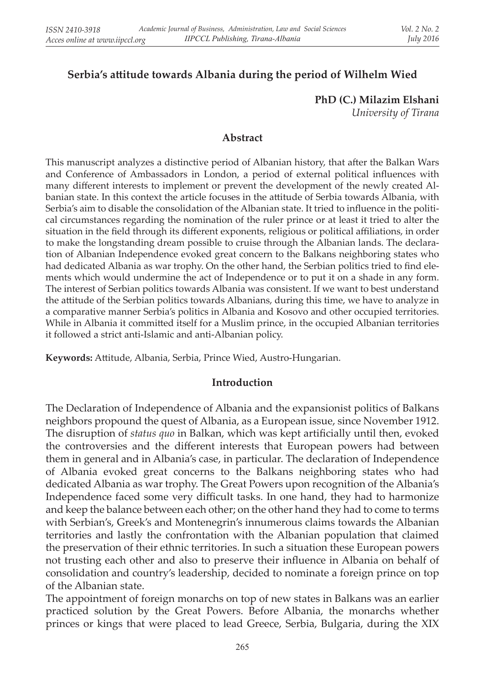# **Serbia's attitude towards Albania during the period of Wilhelm Wied**

**PhD (C.) Milazim Elshani** 

*University of Tirana*

### **Abstract**

This manuscript analyzes a distinctive period of Albanian history, that after the Balkan Wars and Conference of Ambassadors in London, a period of external political influences with many different interests to implement or prevent the development of the newly created Albanian state. In this context the article focuses in the attitude of Serbia towards Albania, with Serbia's aim to disable the consolidation of the Albanian state. It tried to influence in the political circumstances regarding the nomination of the ruler prince or at least it tried to alter the situation in the field through its different exponents, religious or political affiliations, in order to make the longstanding dream possible to cruise through the Albanian lands. The declaration of Albanian Independence evoked great concern to the Balkans neighboring states who had dedicated Albania as war trophy. On the other hand, the Serbian politics tried to find elements which would undermine the act of Independence or to put it on a shade in any form. The interest of Serbian politics towards Albania was consistent. If we want to best understand the attitude of the Serbian politics towards Albanians, during this time, we have to analyze in a comparative manner Serbia's politics in Albania and Kosovo and other occupied territories. While in Albania it committed itself for a Muslim prince, in the occupied Albanian territories it followed a strict anti-Islamic and anti-Albanian policy.

**Keywords:** Attitude, Albania, Serbia, Prince Wied, Austro-Hungarian.

#### **Introduction**

The Declaration of Independence of Albania and the expansionist politics of Balkans neighbors propound the quest of Albania, as a European issue, since November 1912. The disruption of *status quo* in Balkan, which was kept artificially until then, evoked the controversies and the different interests that European powers had between them in general and in Albania's case, in particular. The declaration of Independence of Albania evoked great concerns to the Balkans neighboring states who had dedicated Albania as war trophy. The Great Powers upon recognition of the Albania's Independence faced some very difficult tasks. In one hand, they had to harmonize and keep the balance between each other; on the other hand they had to come to terms with Serbian's, Greek's and Montenegrin's innumerous claims towards the Albanian territories and lastly the confrontation with the Albanian population that claimed the preservation of their ethnic territories. In such a situation these European powers not trusting each other and also to preserve their influence in Albania on behalf of consolidation and country's leadership, decided to nominate a foreign prince on top of the Albanian state.

The appointment of foreign monarchs on top of new states in Balkans was an earlier practiced solution by the Great Powers. Before Albania, the monarchs whether princes or kings that were placed to lead Greece, Serbia, Bulgaria, during the XIX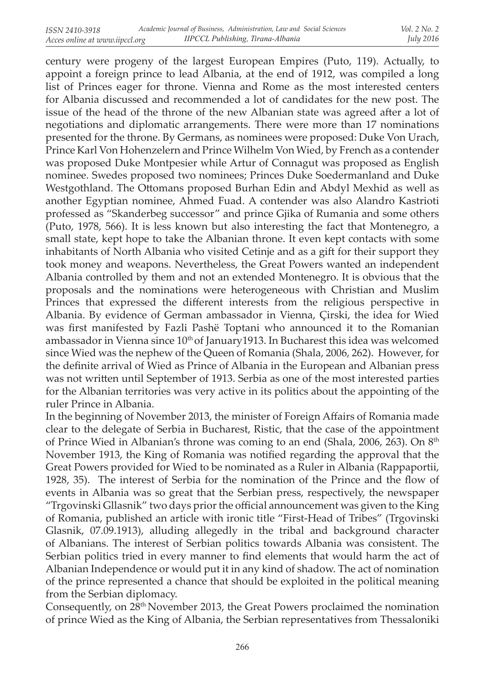century were progeny of the largest European Empires (Puto, 119). Actually, to appoint a foreign prince to lead Albania, at the end of 1912, was compiled a long list of Princes eager for throne. Vienna and Rome as the most interested centers for Albania discussed and recommended a lot of candidates for the new post. The issue of the head of the throne of the new Albanian state was agreed after a lot of negotiations and diplomatic arrangements. There were more than 17 nominations presented for the throne. By Germans, as nominees were proposed: Duke Von Urach, Prince Karl Von Hohenzelern and Prince Wilhelm Von Wied, by French as a contender was proposed Duke Montpesier while Artur of Connagut was proposed as English nominee. Swedes proposed two nominees; Princes Duke Soedermanland and Duke Westgothland. The Ottomans proposed Burhan Edin and Abdyl Mexhid as well as another Egyptian nominee, Ahmed Fuad. A contender was also Alandro Kastrioti professed as "Skanderbeg successor" and prince Gjika of Rumania and some others (Puto, 1978, 566). It is less known but also interesting the fact that Montenegro, a small state, kept hope to take the Albanian throne. It even kept contacts with some inhabitants of North Albania who visited Cetinje and as a gift for their support they took money and weapons. Nevertheless, the Great Powers wanted an independent Albania controlled by them and not an extended Montenegro. It is obvious that the proposals and the nominations were heterogeneous with Christian and Muslim Princes that expressed the different interests from the religious perspective in Albania. By evidence of German ambassador in Vienna, Çirski, the idea for Wied was first manifested by Fazli Pashë Toptani who announced it to the Romanian ambassador in Vienna since  $10<sup>th</sup>$  of January1913. In Bucharest this idea was welcomed since Wied was the nephew of the Queen of Romania (Shala, 2006, 262). However, for the definite arrival of Wied as Prince of Albania in the European and Albanian press was not written until September of 1913. Serbia as one of the most interested parties for the Albanian territories was very active in its politics about the appointing of the ruler Prince in Albania.

In the beginning of November 2013, the minister of Foreign Affairs of Romania made clear to the delegate of Serbia in Bucharest, Ristic, that the case of the appointment of Prince Wied in Albanian's throne was coming to an end (Shala, 2006, 263). On 8<sup>th</sup> November 1913, the King of Romania was notified regarding the approval that the Great Powers provided for Wied to be nominated as a Ruler in Albania (Rappaportii, 1928, 35). The interest of Serbia for the nomination of the Prince and the flow of events in Albania was so great that the Serbian press, respectively, the newspaper "Trgovinski Gllasnik" two days prior the official announcement was given to the King of Romania, published an article with ironic title "First-Head of Tribes" (Trgovinski Glasnik, 07.09.1913), alluding allegedly in the tribal and background character of Albanians. The interest of Serbian politics towards Albania was consistent. The Serbian politics tried in every manner to find elements that would harm the act of Albanian Independence or would put it in any kind of shadow. The act of nomination of the prince represented a chance that should be exploited in the political meaning from the Serbian diplomacy.

Consequently, on 28th November 2013, the Great Powers proclaimed the nomination of prince Wied as the King of Albania, the Serbian representatives from Thessaloniki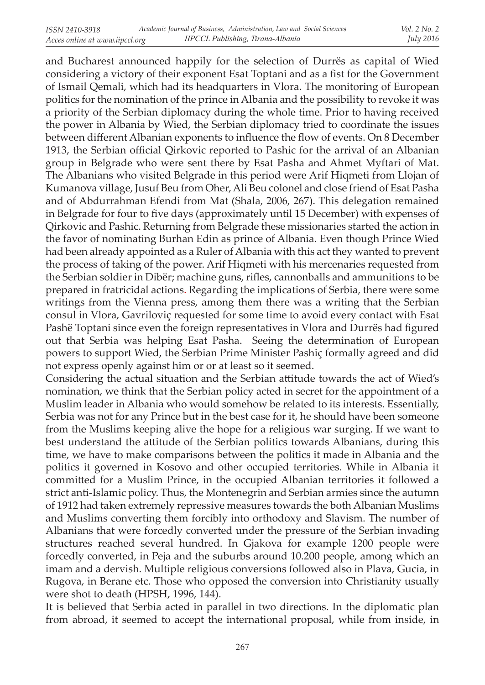and Bucharest announced happily for the selection of Durrës as capital of Wied considering a victory of their exponent Esat Toptani and as a fist for the Government of Ismail Qemali, which had its headquarters in Vlora. The monitoring of European politics for the nomination of the prince in Albania and the possibility to revoke it was a priority of the Serbian diplomacy during the whole time. Prior to having received the power in Albania by Wied, the Serbian diplomacy tried to coordinate the issues between different Albanian exponents to influence the flow of events. On 8 December 1913, the Serbian official Qirkovic reported to Pashic for the arrival of an Albanian group in Belgrade who were sent there by Esat Pasha and Ahmet Myftari of Mat. The Albanians who visited Belgrade in this period were Arif Hiqmeti from Llojan of Kumanova village, Jusuf Beu from Oher, Ali Beu colonel and close friend of Esat Pasha and of Abdurrahman Efendi from Mat (Shala, 2006, 267). This delegation remained in Belgrade for four to five days (approximately until 15 December) with expenses of Qirkovic and Pashic. Returning from Belgrade these missionaries started the action in the favor of nominating Burhan Edin as prince of Albania. Even though Prince Wied had been already appointed as a Ruler of Albania with this act they wanted to prevent the process of taking of the power. Arif Hiqmeti with his mercenaries requested from the Serbian soldier in Dibër; machine guns, rifles, cannonballs and ammunitions to be prepared in fratricidal actions. Regarding the implications of Serbia, there were some writings from the Vienna press, among them there was a writing that the Serbian consul in Vlora, Gavriloviç requested for some time to avoid every contact with Esat Pashë Toptani since even the foreign representatives in Vlora and Durrës had figured out that Serbia was helping Esat Pasha. Seeing the determination of European powers to support Wied, the Serbian Prime Minister Pashiç formally agreed and did not express openly against him or or at least so it seemed.

Considering the actual situation and the Serbian attitude towards the act of Wied's nomination, we think that the Serbian policy acted in secret for the appointment of a Muslim leader in Albania who would somehow be related to its interests. Essentially, Serbia was not for any Prince but in the best case for it, he should have been someone from the Muslims keeping alive the hope for a religious war surging. If we want to best understand the attitude of the Serbian politics towards Albanians, during this time, we have to make comparisons between the politics it made in Albania and the politics it governed in Kosovo and other occupied territories. While in Albania it committed for a Muslim Prince, in the occupied Albanian territories it followed a strict anti-Islamic policy. Thus, the Montenegrin and Serbian armies since the autumn of 1912 had taken extremely repressive measures towards the both Albanian Muslims and Muslims converting them forcibly into orthodoxy and Slavism. The number of Albanians that were forcedly converted under the pressure of the Serbian invading structures reached several hundred. In Gjakova for example 1200 people were forcedly converted, in Peja and the suburbs around 10.200 people, among which an imam and a dervish. Multiple religious conversions followed also in Plava, Gucia, in Rugova, in Berane etc. Those who opposed the conversion into Christianity usually were shot to death (HPSH, 1996, 144).

It is believed that Serbia acted in parallel in two directions. In the diplomatic plan from abroad, it seemed to accept the international proposal, while from inside, in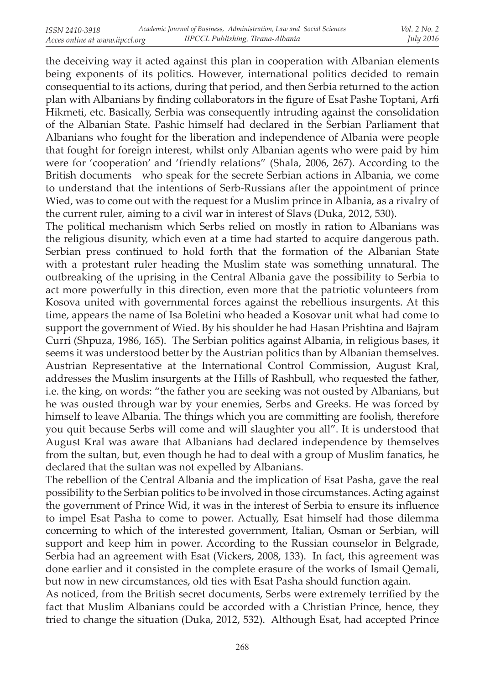the deceiving way it acted against this plan in cooperation with Albanian elements being exponents of its politics. However, international politics decided to remain consequential to its actions, during that period, and then Serbia returned to the action plan with Albanians by finding collaborators in the figure of Esat Pashe Toptani, Arfi Hikmeti, etc. Basically, Serbia was consequently intruding against the consolidation of the Albanian State. Pashic himself had declared in the Serbian Parliament that Albanians who fought for the liberation and independence of Albania were people that fought for foreign interest, whilst only Albanian agents who were paid by him were for 'cooperation' and 'friendly relations" (Shala, 2006, 267). According to the British documents who speak for the secrete Serbian actions in Albania, we come to understand that the intentions of Serb-Russians after the appointment of prince Wied, was to come out with the request for a Muslim prince in Albania, as a rivalry of the current ruler, aiming to a civil war in interest of Slavs (Duka, 2012, 530).

The political mechanism which Serbs relied on mostly in ration to Albanians was the religious disunity, which even at a time had started to acquire dangerous path. Serbian press continued to hold forth that the formation of the Albanian State with a protestant ruler heading the Muslim state was something unnatural. The outbreaking of the uprising in the Central Albania gave the possibility to Serbia to act more powerfully in this direction, even more that the patriotic volunteers from Kosova united with governmental forces against the rebellious insurgents. At this time, appears the name of Isa Boletini who headed a Kosovar unit what had come to support the government of Wied. By his shoulder he had Hasan Prishtina and Bajram Curri (Shpuza, 1986, 165). The Serbian politics against Albania, in religious bases, it seems it was understood better by the Austrian politics than by Albanian themselves. Austrian Representative at the International Control Commission, August Kral, addresses the Muslim insurgents at the Hills of Rashbull, who requested the father, i.e. the king, on words: "the father you are seeking was not ousted by Albanians, but he was ousted through war by your enemies, Serbs and Greeks. He was forced by himself to leave Albania. The things which you are committing are foolish, therefore you quit because Serbs will come and will slaughter you all". It is understood that August Kral was aware that Albanians had declared independence by themselves from the sultan, but, even though he had to deal with a group of Muslim fanatics, he declared that the sultan was not expelled by Albanians.

The rebellion of the Central Albania and the implication of Esat Pasha, gave the real possibility to the Serbian politics to be involved in those circumstances. Acting against the government of Prince Wid, it was in the interest of Serbia to ensure its influence to impel Esat Pasha to come to power. Actually, Esat himself had those dilemma concerning to which of the interested government, Italian, Osman or Serbian, will support and keep him in power. According to the Russian counselor in Belgrade, Serbia had an agreement with Esat (Vickers, 2008, 133). In fact, this agreement was done earlier and it consisted in the complete erasure of the works of Ismail Qemali, but now in new circumstances, old ties with Esat Pasha should function again.

As noticed, from the British secret documents, Serbs were extremely terrified by the fact that Muslim Albanians could be accorded with a Christian Prince, hence, they tried to change the situation (Duka, 2012, 532). Although Esat, had accepted Prince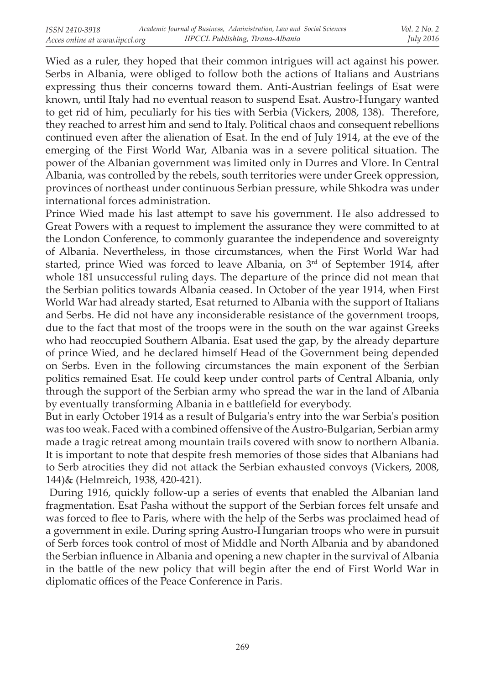Wied as a ruler, they hoped that their common intrigues will act against his power. Serbs in Albania, were obliged to follow both the actions of Italians and Austrians expressing thus their concerns toward them. Anti-Austrian feelings of Esat were known, until Italy had no eventual reason to suspend Esat. Austro-Hungary wanted to get rid of him, peculiarly for his ties with Serbia (Vickers, 2008, 138). Therefore, they reached to arrest him and send to Italy. Political chaos and consequent rebellions continued even after the alienation of Esat. In the end of July 1914, at the eve of the emerging of the First World War, Albania was in a severe political situation. The power of the Albanian government was limited only in Durres and Vlore. In Central Albania, was controlled by the rebels, south territories were under Greek oppression, provinces of northeast under continuous Serbian pressure, while Shkodra was under international forces administration.

Prince Wied made his last attempt to save his government. He also addressed to Great Powers with a request to implement the assurance they were committed to at the London Conference, to commonly guarantee the independence and sovereignty of Albania. Nevertheless, in those circumstances, when the First World War had started, prince Wied was forced to leave Albania, on 3<sup>rd</sup> of September 1914, after whole 181 unsuccessful ruling days. The departure of the prince did not mean that the Serbian politics towards Albania ceased. In October of the year 1914, when First World War had already started, Esat returned to Albania with the support of Italians and Serbs. He did not have any inconsiderable resistance of the government troops, due to the fact that most of the troops were in the south on the war against Greeks who had reoccupied Southern Albania. Esat used the gap, by the already departure of prince Wied, and he declared himself Head of the Government being depended on Serbs. Even in the following circumstances the main exponent of the Serbian politics remained Esat. He could keep under control parts of Central Albania, only through the support of the Serbian army who spread the war in the land of Albania by eventually transforming Albania in e battlefield for everybody.

But in early October 1914 as a result of Bulgaria's entry into the war Serbia's position was too weak. Faced with a combined offensive of the Austro-Bulgarian, Serbian army made a tragic retreat among mountain trails covered with snow to northern Albania. It is important to note that despite fresh memories of those sides that Albanians had to Serb atrocities they did not attack the Serbian exhausted convoys (Vickers, 2008, 144)& (Helmreich, 1938, 420-421).

 During 1916, quickly follow-up a series of events that enabled the Albanian land fragmentation. Esat Pasha without the support of the Serbian forces felt unsafe and was forced to flee to Paris, where with the help of the Serbs was proclaimed head of a government in exile. During spring Austro-Hungarian troops who were in pursuit of Serb forces took control of most of Middle and North Albania and by abandoned the Serbian influence in Albania and opening a new chapter in the survival of Albania in the battle of the new policy that will begin after the end of First World War in diplomatic offices of the Peace Conference in Paris.